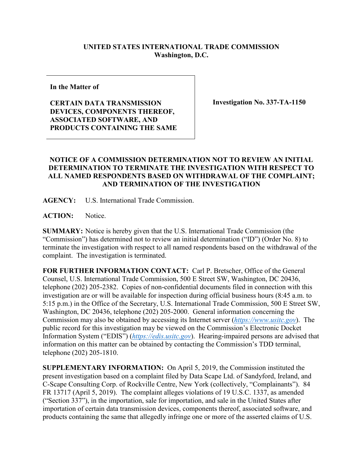## **UNITED STATES INTERNATIONAL TRADE COMMISSION Washington, D.C.**

**In the Matter of**

## **CERTAIN DATA TRANSMISSION DEVICES, COMPONENTS THEREOF, ASSOCIATED SOFTWARE, AND PRODUCTS CONTAINING THE SAME**

**Investigation No. 337-TA-1150**

## **NOTICE OF A COMMISSION DETERMINATION NOT TO REVIEW AN INITIAL DETERMINATION TO TERMINATE THE INVESTIGATION WITH RESPECT TO ALL NAMED RESPONDENTS BASED ON WITHDRAWAL OF THE COMPLAINT; AND TERMINATION OF THE INVESTIGATION**

**AGENCY:** U.S. International Trade Commission.

**ACTION:** Notice.

**SUMMARY:** Notice is hereby given that the U.S. International Trade Commission (the "Commission") has determined not to review an initial determination ("ID") (Order No. 8) to terminate the investigation with respect to all named respondents based on the withdrawal of the complaint. The investigation is terminated.

**FOR FURTHER INFORMATION CONTACT:** Carl P. Bretscher, Office of the General Counsel, U.S. International Trade Commission, 500 E Street SW, Washington, DC 20436, telephone (202) 205-2382. Copies of non-confidential documents filed in connection with this investigation are or will be available for inspection during official business hours (8:45 a.m. to 5:15 p.m.) in the Office of the Secretary, U.S. International Trade Commission, 500 E Street SW, Washington, DC 20436, telephone (202) 205-2000. General information concerning the Commission may also be obtained by accessing its Internet server (*[https://www.usitc.gov](https://www.usitc.gov/)*). The public record for this investigation may be viewed on the Commission's Electronic Docket Information System ("EDIS") (*[https://edis.usitc.gov](https://edis.usitc.gov/)*). Hearing-impaired persons are advised that information on this matter can be obtained by contacting the Commission's TDD terminal, telephone (202) 205-1810.

**SUPPLEMENTARY INFORMATION:** On April 5, 2019, the Commission instituted the present investigation based on a complaint filed by Data Scape Ltd. of Sandyford, Ireland, and C-Scape Consulting Corp. of Rockville Centre, New York (collectively, "Complainants"). 84 FR 13717 (April 5, 2019). The complaint alleges violations of 19 U.S.C. 1337, as amended ("Section 337"), in the importation, sale for importation, and sale in the United States after importation of certain data transmission devices, components thereof, associated software, and products containing the same that allegedly infringe one or more of the asserted claims of U.S.